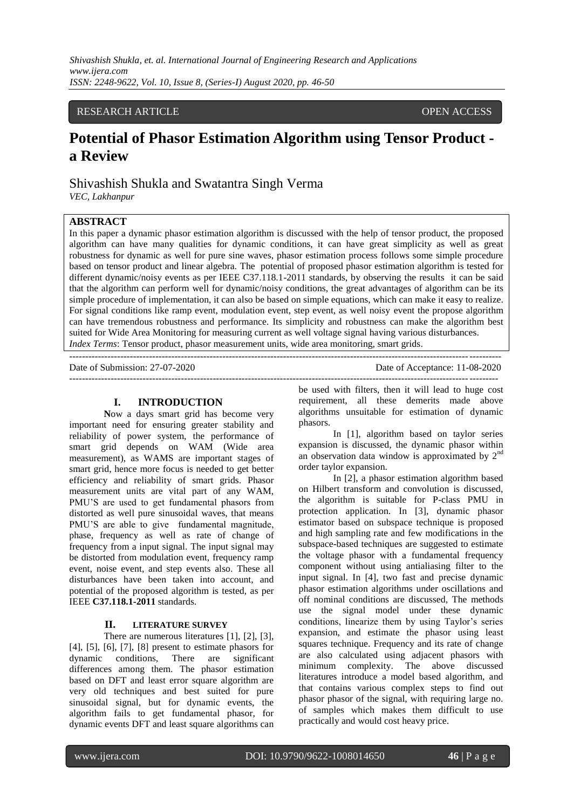# RESEARCH ARTICLE OPEN ACCESS

# **Potential of Phasor Estimation Algorithm using Tensor Product a Review**

Shivashish Shukla and Swatantra Singh Verma

---------------------------------------------------------------------------------------------------------------------------------------

*VEC, Lakhanpur*

## **ABSTRACT**

In this paper a dynamic phasor estimation algorithm is discussed with the help of tensor product, the proposed algorithm can have many qualities for dynamic conditions, it can have great simplicity as well as great robustness for dynamic as well for pure sine waves, phasor estimation process follows some simple procedure based on tensor product and linear algebra. The potential of proposed phasor estimation algorithm is tested for different dynamic/noisy events as per IEEE C37.118.1-2011 standards, by observing the results it can be said that the algorithm can perform well for dynamic/noisy conditions, the great advantages of algorithm can be its simple procedure of implementation, it can also be based on simple equations, which can make it easy to realize. For signal conditions like ramp event, modulation event, step event, as well noisy event the propose algorithm can have tremendous robustness and performance. Its simplicity and robustness can make the algorithm best suited for Wide Area Monitoring for measuring current as well voltage signal having various disturbances. *Index Terms*: Tensor product, phasor measurement units, wide area monitoring, smart grids.

--------------------------------------------------------------------------------------------------------------------------------------

Date of Submission: 27-07-2020 Date of Acceptance: 11-08-2020

#### **I. INTRODUCTION**

**N**ow a days smart grid has become very important need for ensuring greater stability and reliability of power system, the performance of smart grid depends on WAM (Wide area measurement), as WAMS are important stages of smart grid, hence more focus is needed to get better efficiency and reliability of smart grids. Phasor measurement units are vital part of any WAM, PMU'S are used to get fundamental phasors from distorted as well pure sinusoidal waves, that means PMU'S are able to give fundamental magnitude, phase, frequency as well as rate of change of frequency from a input signal. The input signal may be distorted from modulation event, frequency ramp event, noise event, and step events also. These all disturbances have been taken into account, and potential of the proposed algorithm is tested, as per IEEE **C37.118.1-2011** standards.

#### **II. LITERATURE SURVEY**

There are numerous literatures [1], [2], [3], [4], [5], [6], [7], [8] present to estimate phasors for dynamic conditions, There are significant differences among them. The phasor estimation based on DFT and least error square algorithm are very old techniques and best suited for pure sinusoidal signal, but for dynamic events, the algorithm fails to get fundamental phasor, for dynamic events DFT and least square algorithms can be used with filters, then it will lead to huge cost requirement, all these demerits made above algorithms unsuitable for estimation of dynamic phasors.

In [1], algorithm based on taylor series expansion is discussed, the dynamic phasor within an observation data window is approximated by  $2<sup>nd</sup>$ order taylor expansion.

In [2], a phasor estimation algorithm based on Hilbert transform and convolution is discussed, the algorithm is suitable for P-class PMU in protection application. In [3], dynamic phasor estimator based on subspace technique is proposed and high sampling rate and few modifications in the subspace-based techniques are suggested to estimate the voltage phasor with a fundamental frequency component without using antialiasing filter to the input signal. In [4], two fast and precise dynamic phasor estimation algorithms under oscillations and off nominal conditions are discussed, The methods use the signal model under these dynamic conditions, linearize them by using Taylor's series expansion, and estimate the phasor using least squares technique. Frequency and its rate of change are also calculated using adjacent phasors with minimum complexity. The above discussed literatures introduce a model based algorithm, and that contains various complex steps to find out phasor phasor of the signal, with requiring large no. of samples which makes them difficult to use practically and would cost heavy price.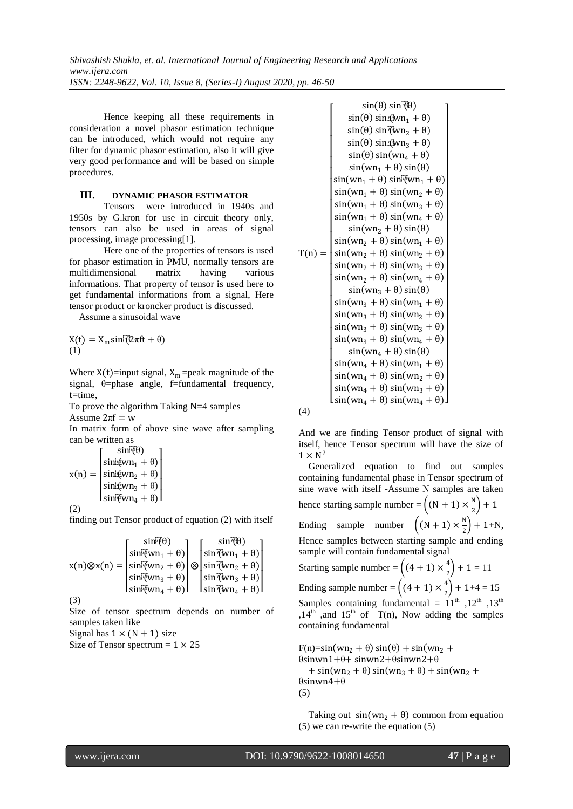Hence keeping all these requirements in consideration a novel phasor estimation technique can be introduced, which would not require any filter for dynamic phasor estimation, also it will give very good performance and will be based on simple procedures.

#### **III. DYNAMIC PHASOR ESTIMATOR**

Tensors were introduced in 1940s and 1950s by G.kron for use in circuit theory only, tensors can also be used in areas of signal processing, image processing[1].

Here one of the properties of tensors is used for phasor estimation in PMU, normally tensors are multidimensional matrix having various informations. That property of tensor is used here to get fundamental informations from a signal, Here tensor product or kroncker product is discussed.

Assume a sinusoidal wave

 $X(t) = X_m \sin(2\pi f t + \theta)$ (1)

Where  $X(t)$ =input signal,  $X_m$ =peak magnitude of the signal, θ=phase angle, f=fundamental frequency, t=time,

To prove the algorithm Taking N=4 samples Assume  $2\pi f = w$ 

In matrix form of above sine wave after sampling can be written as

$$
x(n) = \begin{bmatrix} \sin(\theta) \\ \sin(\theta n_1 + \theta) \\ \sin(\theta n_2 + \theta) \\ \sin(\theta n_3 + \theta) \\ \sin(\theta n_4 + \theta) \end{bmatrix}
$$
  
(2)

finding out Tensor product of equation (2) with itself

$$
x(n) \otimes x(n) = \begin{bmatrix} \sin(\overline{\theta}) & \sin(\overline{\theta}) \\ \sin(\overline{\theta} w n_1 + \theta) \\ \sin(\overline{\theta} w n_2 + \theta) \\ \sin(\overline{\theta} w n_3 + \theta) \\ \sin(\overline{\theta} w n_4 + \theta) \end{bmatrix} \otimes \begin{bmatrix} \sin(\overline{\theta} \theta) \\ \sin(\overline{\theta} w n_1 + \theta) \\ \sin(\overline{\theta} w n_2 + \theta) \\ \sin(\overline{\theta} w n_3 + \theta) \\ \sin(\overline{\theta} w n_4 + \theta) \end{bmatrix}
$$

(3)

I

Size of tensor spectrum depends on number of samples taken like

Signal has  $1 \times (N + 1)$  size

Size of Tensor spectrum  $= 1 \times 25$ 

$$
\sin(\theta) \sin(\theta) \sin(\theta) \n\sin(\theta) \sin(\theta) \sin(\theta) \n\sin(\theta) \sin(\theta) \sin(\theta) \n\sin(\theta) \sin(\theta) \sin(\theta) \n\sin(\theta) \sin(\theta) \n\sin(\theta) \sin(\theta) \n\sin(\theta) \sin(\theta) \n\sin(\theta) \sin(\theta) \n\sin(\theta) \sin(\theta) \n\sin(\theta) \sin(\theta) \n\sin(\theta) \sin(\theta) \n\sin(\theta) \sin(\theta) \n\sin(\theta) \sin(\theta) \n\sin(\theta) \sin(\theta) \n\sin(\theta) \sin(\theta) \n\sin(\theta) \sin(\theta) \n\sin(\theta) \sin(\theta) \n\sin(\theta) \sin(\theta) \n\sin(\theta) \sin(\theta) \n\sin(\theta) \sin(\theta) \n\sin(\theta) \sin(\theta) \n\sin(\theta) \sin(\theta) \n\sin(\theta) \sin(\theta) \n\sin(\theta) \sin(\theta) \n\sin(\theta) \sin(\theta) \n\sin(\theta) \sin(\theta) \n\sin(\theta) \sin(\theta) \n\sin(\theta) \sin(\theta) \n\sin(\theta) \sin(\theta) \n\sin(\theta) \sin(\theta) \n\sin(\theta) \sin(\theta) \n\sin(\theta) \sin(\theta) \n\sin(\theta) \sin(\theta) \n\sin(\theta) \sin(\theta) \n\sin(\theta) \sin(\theta) \n\sin(\theta) \sin(\theta) \n\sin(\theta) \sin(\theta) \n\sin(\theta) \sin(\theta) \n\sin(\theta) \sin(\theta) \n\sin(\theta) \sin(\theta) \n\sin(\theta) \sin(\theta) \n\sin(\theta) \sin(\theta) \n\sin(\theta) \sin(\theta) \n\sin(\theta) \sin(\theta) \n\sin(\theta) \sin(\theta) \n\sin(\theta) \sin(\theta) \n\sin(\theta) \sin(\theta) \n\sin(\theta) \sin(\theta) \n\sin(\theta) \sin(\theta) \n\sin(\theta) \sin(\theta) \n\sin(\theta) \sin(\theta) \n\sin(\theta) \sin(\theta) \n\sin(\theta) \sin(\theta) <
$$

(4)

And we are finding Tensor product of signal with itself, hence Tensor spectrum will have the size of  $1 \times N^2$ 

Generalized equation to find out samples containing fundamental phase in Tensor spectrum of sine wave with itself -Assume N samples are taken hence starting sample number =  $\left((N + 1) \times \frac{N}{2}\right)$  $(\frac{1}{2})+1$ Ending sample number  $\left( (N + 1) \times \frac{N}{2} \right)$  $\frac{1}{2}$  + 1+N, Hence samples between starting sample and ending sample will contain fundamental signal Starting sample number =  $\left( (4 + 1) \times \frac{4}{3} \right)$  $(\frac{1}{2})+1=11$ Ending sample number =  $\left((4 + 1) \times \frac{4}{3}\right)$  $\frac{1}{2}$  + 1+4 = 15 Samples containing fundamental =  $11^{th}$ ,  $12^{th}$ ,  $13^{th}$ ,14<sup>th</sup> ,and 15<sup>th</sup> of  $T(n)$ , Now adding the samples containing fundamental

 $F(n)=sin(wn<sub>2</sub> + \theta) sin(\theta) + sin(wn<sub>2</sub> + \theta)$ θsinwn1+θ+ sinwn2+θsinwn2+θ  $+ \sin(wn_2 + \theta) \sin(wn_3 + \theta) + \sin(wn_2 + \theta)$ θsinwn4+θ (5)

Taking out  $sin(wn_2 + \theta)$  common from equation (5) we can re-write the equation (5)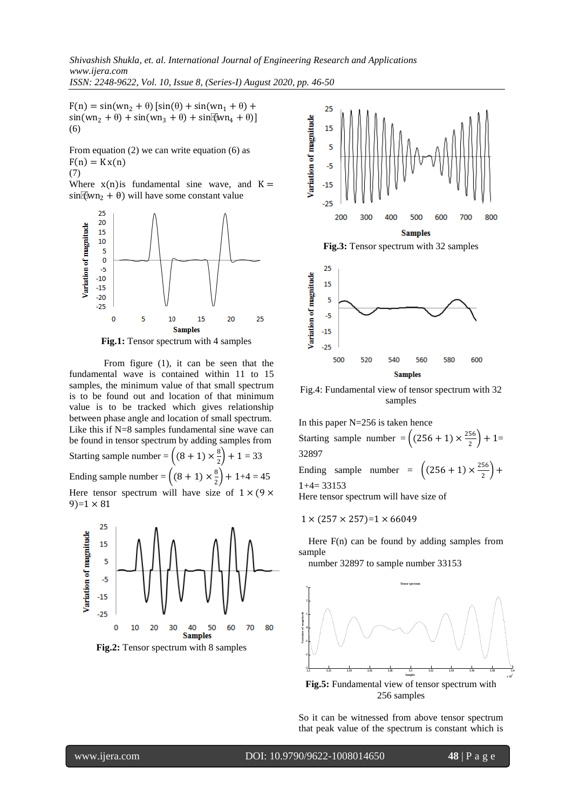$F(n) = sin(wn<sub>2</sub> + \theta) [sin(\theta) + sin(wn<sub>1</sub> + \theta) +$  $sin(wn_2 + \theta) + sin(wn_3 + \theta) + sin(kwn_4 + \theta)$ ] (6)

From equation (2) we can write equation (6) as  $F(n) = Kx(n)$ (7)

Where  $x(n)$  is fundamental sine wave, and  $K =$  $sin(\omega_1 + \theta)$  will have some constant value





From figure (1), it can be seen that the fundamental wave is contained within 11 to 15 samples, the minimum value of that small spectrum is to be found out and location of that minimum value is to be tracked which gives relationship between phase angle and location of small spectrum. Like this if N=8 samples fundamental sine wave can be found in tensor spectrum by adding samples from Starting sample number =  $\left( (8 + 1) \times \frac{8}{3} \right)$  $\frac{8}{2}$  + 1 = 33 Ending sample number =  $\left( (8 + 1) \times \frac{8}{3} \right)$  $\binom{6}{2}$  + 1+4 = 45 Here tensor spectrum will have size of  $1 \times (9 \times$  $9=1 \times 81$ 



**Fig.2:** Tensor spectrum with 8 samples





Fig.4: Fundamental view of tensor spectrum with 32 samples

In this paper  $N=256$  is taken hence Starting sample number =  $\left( (256 + 1) \times \frac{256}{3} \right)$  $\frac{36}{2}$  + 1= 32897 Ending sample number =  $\left( (256 + 1) \times \frac{256}{2} \right)$  $\frac{30}{2}$  +  $1+4= 33153$ Here tensor spectrum will have size of

 $1 \times (257 \times 257) = 1 \times 66049$ 

 Here F(n) can be found by adding samples from sample

number 32897 to sample number 33153



**Fig.5:** Fundamental view of tensor spectrum with 256 samples

So it can be witnessed from above tensor spectrum that peak value of the spectrum is constant which is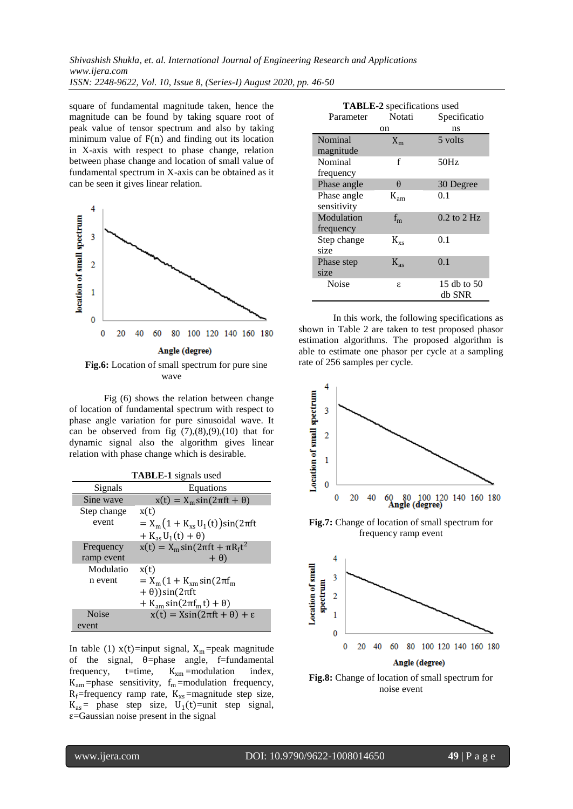*Shivashish Shukla, et. al. International Journal of Engineering Research and Applications www.ijera.com ISSN: 2248-9622, Vol. 10, Issue 8, (Series-I) August 2020, pp. 46-50*

square of fundamental magnitude taken, hence the magnitude can be found by taking square root of peak value of tensor spectrum and also by taking minimum value of  $F(n)$  and finding out its location in X-axis with respect to phase change, relation between phase change and location of small value of fundamental spectrum in X-axis can be obtained as it can be seen it gives linear relation.



**Fig.6:** Location of small spectrum for pure sine wave

Fig (6) shows the relation between change of location of fundamental spectrum with respect to phase angle variation for pure sinusoidal wave. It can be observed from fig  $(7)$ , $(8)$ , $(9)$ , $(10)$  that for dynamic signal also the algorithm gives linear relation with phase change which is desirable.

| <b>TABLE-1</b> signals used |                                                |  |
|-----------------------------|------------------------------------------------|--|
| Signals                     | Equations                                      |  |
| Sine wave                   | $x(t) = X_m \sin(2\pi ft + \theta)$            |  |
| Step change                 | x(t)                                           |  |
| event                       | $= X_{m} (1 + K_{xs} U_{1}(t)) \sin(2\pi ft)$  |  |
|                             | $+ K_{\rm as} U_1(t) + \theta$                 |  |
| Frequency                   | $x(t) = X_m \sin(2\pi ft + \pi R_f t^2)$       |  |
| ramp event                  | $+(\theta)$                                    |  |
| Modulatio                   | x(t)                                           |  |
| n event                     | $= X_{m} (1 + K_{xm} \sin(2\pi f_{m}))$        |  |
|                             | $+ \theta$ ))sin(2 $\pi$ ft                    |  |
|                             | $+ K_{am} \sin(2\pi f_m t) + \theta$           |  |
| <b>Noise</b>                | $x(t) = X\sin(2\pi ft + \theta) + \varepsilon$ |  |
| event                       |                                                |  |

In table (1)  $x(t)$ =input signal,  $X_m$ =peak magnitude of the signal, θ=phase angle, f=fundamental frequency,  $t=time$ ,  $K_{xm} = modulation$  index,  $K_{am}$ =phase sensitivity,  $f_m$ =modulation frequency,  $R_f$ =frequency ramp rate,  $K_{xs}$ =magnitude step size,  $K_{as}$  = phase step size,  $U_1(t)$  = unit step signal,  $\varepsilon$ =Gaussian noise present in the signal

| <b>TABLE-2</b> specifications used |              |                 |
|------------------------------------|--------------|-----------------|
| Parameter                          | Notati       | Specificatio    |
| on                                 |              | ns              |
| Nominal                            | $X_{m}$      | 5 volts         |
| magnitude                          |              |                 |
| Nominal                            | f            | 50Hz            |
| frequency                          |              |                 |
| Phase angle                        | θ            | 30 Degree       |
| Phase angle                        | $K_{am}$     | 0.1             |
| sensitivity                        |              |                 |
| Modulation                         | $f_{m}$      | $0.2$ to $2$ Hz |
| frequency                          |              |                 |
| Step change                        | $K_{\rm xs}$ | 0.1             |
| size                               |              |                 |
| Phase step                         | $K_{ac}$     | 0.1             |
| size                               |              |                 |
| Noise                              | ε            | 15 db to 50     |
|                                    |              | db SNR          |

In this work, the following specifications as shown in Table 2 are taken to test proposed phasor estimation algorithms. The proposed algorithm is able to estimate one phasor per cycle at a sampling rate of 256 samples per cycle.



**Fig.8:** Change of location of small spectrum for noise event